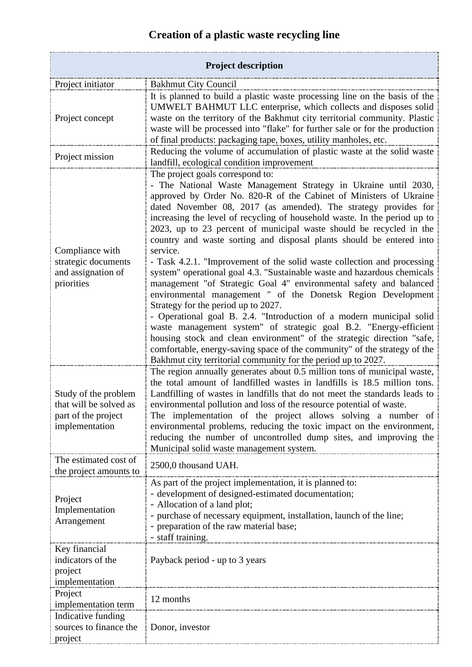## **Creation of a plastic waste recycling line**

| <b>Project description</b>                                                              |                                                                                                                                                                                                                                                                                                                                                                                                                                                                                                                                                                                                                                                                                                                                                                                                                                                                                                                                                                                                                                                                                                                              |  |
|-----------------------------------------------------------------------------------------|------------------------------------------------------------------------------------------------------------------------------------------------------------------------------------------------------------------------------------------------------------------------------------------------------------------------------------------------------------------------------------------------------------------------------------------------------------------------------------------------------------------------------------------------------------------------------------------------------------------------------------------------------------------------------------------------------------------------------------------------------------------------------------------------------------------------------------------------------------------------------------------------------------------------------------------------------------------------------------------------------------------------------------------------------------------------------------------------------------------------------|--|
|                                                                                         |                                                                                                                                                                                                                                                                                                                                                                                                                                                                                                                                                                                                                                                                                                                                                                                                                                                                                                                                                                                                                                                                                                                              |  |
| Project initiator<br>Project concept                                                    | <b>Bakhmut City Council</b><br>It is planned to build a plastic waste processing line on the basis of the<br>UMWELT BAHMUT LLC enterprise, which collects and disposes solid<br>waste on the territory of the Bakhmut city territorial community. Plastic<br>waste will be processed into "flake" for further sale or for the production<br>of final products: packaging tape, boxes, utility manholes, etc.                                                                                                                                                                                                                                                                                                                                                                                                                                                                                                                                                                                                                                                                                                                 |  |
| Project mission                                                                         | Reducing the volume of accumulation of plastic waste at the solid waste<br>landfill, ecological condition improvement                                                                                                                                                                                                                                                                                                                                                                                                                                                                                                                                                                                                                                                                                                                                                                                                                                                                                                                                                                                                        |  |
| Compliance with<br>strategic documents<br>and assignation of<br>priorities              | The project goals correspond to:<br>- The National Waste Management Strategy in Ukraine until 2030,<br>approved by Order No. 820-R of the Cabinet of Ministers of Ukraine<br>dated November 08, 2017 (as amended). The strategy provides for<br>increasing the level of recycling of household waste. In the period up to<br>2023, up to 23 percent of municipal waste should be recycled in the<br>country and waste sorting and disposal plants should be entered into<br>service.<br>- Task 4.2.1. "Improvement of the solid waste collection and processing<br>system" operational goal 4.3. "Sustainable waste and hazardous chemicals<br>management "of Strategic Goal 4" environmental safety and balanced<br>environmental management " of the Donetsk Region Development<br>Strategy for the period up to 2027.<br>- Operational goal B. 2.4. "Introduction of a modern municipal solid<br>waste management system" of strategic goal B.2. "Energy-efficient<br>housing stock and clean environment" of the strategic direction "safe,<br>comfortable, energy-saving space of the community" of the strategy of the |  |
| Study of the problem<br>that will be solved as<br>part of the project<br>implementation | Bakhmut city territorial community for the period up to 2027.<br>The region annually generates about 0.5 million tons of municipal waste,<br>the total amount of landfilled wastes in landfills is 18.5 million tons.<br>Landfilling of wastes in landfills that do not meet the standards leads to<br>environmental pollution and loss of the resource potential of waste.<br>The implementation of the project allows solving a number of<br>environmental problems, reducing the toxic impact on the environment,<br>reducing the number of uncontrolled dump sites, and improving the<br>Municipal solid waste management system.                                                                                                                                                                                                                                                                                                                                                                                                                                                                                        |  |
| The estimated cost of<br>the project amounts to                                         | 2500,0 thousand UAH.                                                                                                                                                                                                                                                                                                                                                                                                                                                                                                                                                                                                                                                                                                                                                                                                                                                                                                                                                                                                                                                                                                         |  |
| Project<br>Implementation<br>Arrangement                                                | As part of the project implementation, it is planned to:<br>- development of designed-estimated documentation;<br>- Allocation of a land plot;<br>- purchase of necessary equipment, installation, launch of the line;<br>- preparation of the raw material base;<br>- staff training.                                                                                                                                                                                                                                                                                                                                                                                                                                                                                                                                                                                                                                                                                                                                                                                                                                       |  |
| Key financial<br>indicators of the<br>project<br>implementation                         | Payback period - up to 3 years                                                                                                                                                                                                                                                                                                                                                                                                                                                                                                                                                                                                                                                                                                                                                                                                                                                                                                                                                                                                                                                                                               |  |
| Project<br>implementation term                                                          | 12 months                                                                                                                                                                                                                                                                                                                                                                                                                                                                                                                                                                                                                                                                                                                                                                                                                                                                                                                                                                                                                                                                                                                    |  |
| Indicative funding<br>sources to finance the<br>project                                 | Donor, investor                                                                                                                                                                                                                                                                                                                                                                                                                                                                                                                                                                                                                                                                                                                                                                                                                                                                                                                                                                                                                                                                                                              |  |